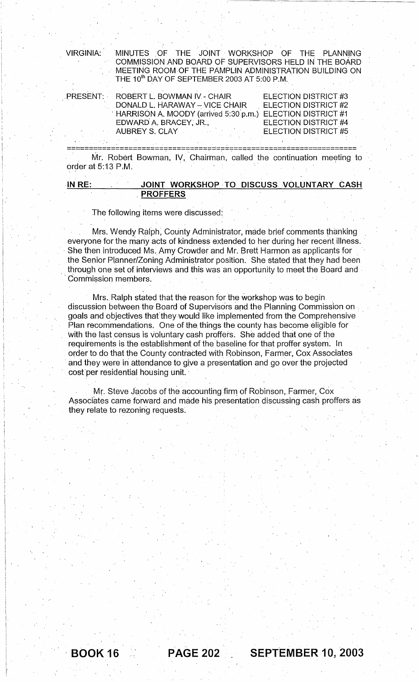| <b>VIRGINIA:</b>   |                                                                                                                                                                                                                                        | MINUTES OF THE JOINT WORKSHOP OF THE PLANNING<br>COMMISSION AND BOARD OF SUPERVISORS HELD IN THE BOARD<br>MEETING ROOM OF THE PAMPLIN ADMINISTRATION BUILDING ON<br>THE 10 <sup>th</sup> DAY OF SEPTEMBER 2003 AT 5:00 P.M. |                                                                                              |  |
|--------------------|----------------------------------------------------------------------------------------------------------------------------------------------------------------------------------------------------------------------------------------|-----------------------------------------------------------------------------------------------------------------------------------------------------------------------------------------------------------------------------|----------------------------------------------------------------------------------------------|--|
| PRESENT:           | EDWARD A. BRACEY, JR.,<br>AUBREY S. CLAY                                                                                                                                                                                               | ROBERT L. BOWMAN IV. - CHAIR<br>DONALD L. HARAWAY - VICE CHAIR<br>HARRISON A. MOODY (arrived 5:30 p.m.) ELECTION DISTRICT #1                                                                                                | ELECTION DISTRICT #3<br>ELECTION DISTRICT #2<br>ELECTION DISTRICT #4<br>ELECTION DISTRICT #5 |  |
| order at 5:13 P.M. | Mr. Robert Bowman, IV, Chairman, called the continuation meeting to                                                                                                                                                                    |                                                                                                                                                                                                                             |                                                                                              |  |
| IN RE:             |                                                                                                                                                                                                                                        | JOINT WORKSHOP TO DISCUSS VOLUNTARY CASH                                                                                                                                                                                    |                                                                                              |  |
|                    | <b>PROFFERS</b>                                                                                                                                                                                                                        |                                                                                                                                                                                                                             |                                                                                              |  |
|                    | The following items were discussed:                                                                                                                                                                                                    |                                                                                                                                                                                                                             |                                                                                              |  |
|                    | Mrs. Wendy Ralph, County Administrator, made brief comments thanking<br>everyone for the many acts of kindness extended to her during her recent illness.<br>Che than introduced Me Amu Crouder and Mr. Drott Usraen as applicants for |                                                                                                                                                                                                                             |                                                                                              |  |

| IN RE: |  |                 |  | JOINT WORKSHOP TO DISCUSS VOLUNTARY CASH |  |
|--------|--|-----------------|--|------------------------------------------|--|
|        |  | <b>PROFFERS</b> |  |                                          |  |

### The following items were discussed:.

Mrs. Wendy Ralph, County Administrator, made brief comments thanking everyone for the many acts of kindness extended to her during her recent illness. She then introduced Ms. Amy Crowder and Mr. Brett Harmon as applicants for the Senior Planner/Zoning Administrator position. She stated that they had been through one set of interviews and this was an opportunity to meet the Board and Commission members.

Mrs. Ralph stated that the reason for the workshop was to begin , discussion between the Board of Supervisors and the Planning Commission on goals and objectives that they would like implemented from the Comprehensive Plan recommendations. One of the things the county has become eligible for with the last census is voluntary cash proffers. She added that one of the requirements is the establishment of the baseline for that proffer system. In order to do that the County contracted with Robinson, Farmer, Cox Associates and they were in attendance to give a presentation and go over the projected cost' per residential housing unit. '

Mr. Steve Jacobs of the accounting firm of Robinson, Farmer, Cox Associates came forward and made his presentation discussing cash proffers as they relate to rezoning requests:

BOOK 16 **PAGE 202 SEPTEMBER 10, 2003**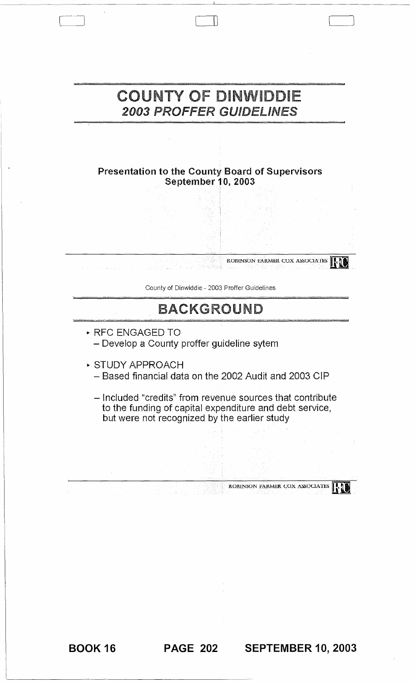# **COUNTY OF DINWIDDIE** 2003 PROFFER GUIDELiNES

Presentation to the County Board of Supervisors September 10, 2003

County of Dinwiddie - 2003 Proffer Guidelines

ROBINSON FARMER COX ASSOCIATES **in the set of the set of the set of the set of the set of the set of the set of the set of the set of the set of the set of the set of the set of the set of the set of the set of the set of** 

# BACKGROUND

- .. RFC ENGAGED TO - Develop a County proffer guideline sytem
- .. STUDY APPROACH
	- Based financial data on the 2002 Audit and 2003 CIP
	- Included "credits" from revenue sources that contribute to the funding of capital expenditure and debt service, but were not recognized by the earlier study

BOOK 16 **PAGE 202 SEPTEMBER 10, 2003** 

ROBINSON FARMER COX ASSOCIATES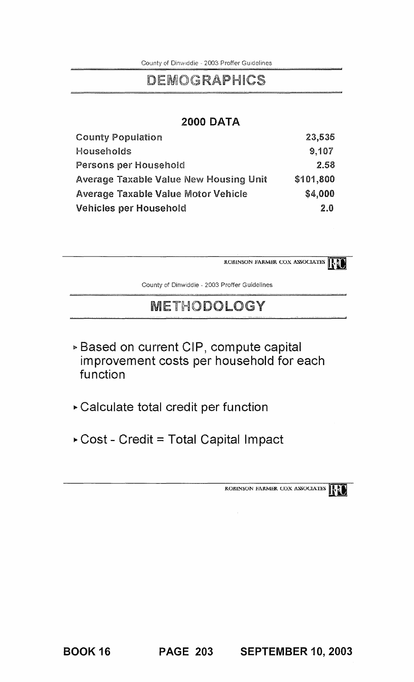County of Dinwiddie - 2003 Proffer Guidelines

# DEMOGRAPHICS

### **2000 DATA**

| <b>County Population</b>                      | 23,535    |
|-----------------------------------------------|-----------|
| Households                                    | 9,107     |
| Persons per Household                         | 2.58      |
| <b>Average Taxable Value New Housing Unit</b> | \$101,800 |
| <b>Average Taxable Value Motor Vehicle</b>    | \$4,000   |
| Vehicles per Household                        | 2.0       |

**ROBINSON FARMER COX ASSOCIATES R** 

County of Dinwiddie - 2003 Proffer Guidelines

# METHODOLOGY

- <sup>~</sup>**Based on current CIP, compute capital improvement costs per household for each function**
- <sup>~</sup>**Calculate total credit per function**
- **.. Cost - Credit = Total Capital Impact**

ROBINSON FARMER COX ASSOCIATES **INTER** 

BOOK 16 **PAGE 203 SEPTEMBER 10, 2003**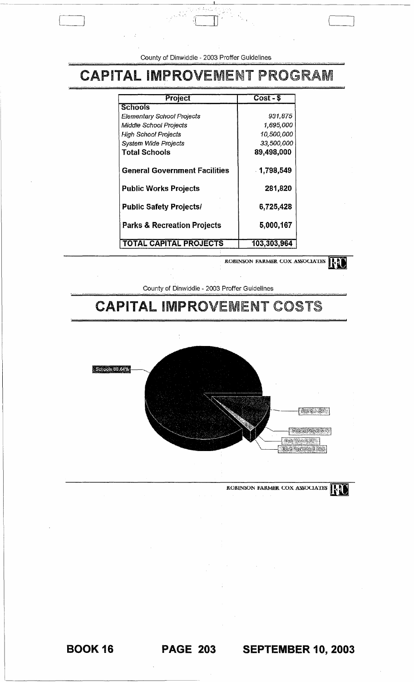County of Dinwiddie - 2003 Proffer Guidelines

# **CAPITAL IMPROVEMENT PROGRAM**

| Project                                | $Cost - $$  |
|----------------------------------------|-------------|
| <b>Schools</b>                         |             |
| Elementary School Projects             | 931,875     |
| <b>Middle School Projects</b>          | 1,695,000   |
| High School Projects                   | 10,500,000  |
| System Wide Projects                   | 33,500,000  |
| <b>Total Schools</b>                   | 89,498,000  |
| <b>General Government Facilities</b>   | 1,798,549   |
| <b>Public Works Projects</b>           | 281,820     |
| <b>Public Safety Projects/</b>         | 6,725,428   |
| <b>Parks &amp; Recreation Projects</b> | 5,000,167   |
| <b>TOTAL CAPITAL PROJECTS</b>          | 103,303,964 |

ROBINSON FARMER COX ASSOCIATES

County of Dinwiddie - 2003 Proffer Guidelines

# **CAPITAL IMPROVEMENT COSTS**



ROBINSON FARMER COX ASSOCIATES

PAGE 203 SEPTEMBER 10, 2003

**BOOK 16**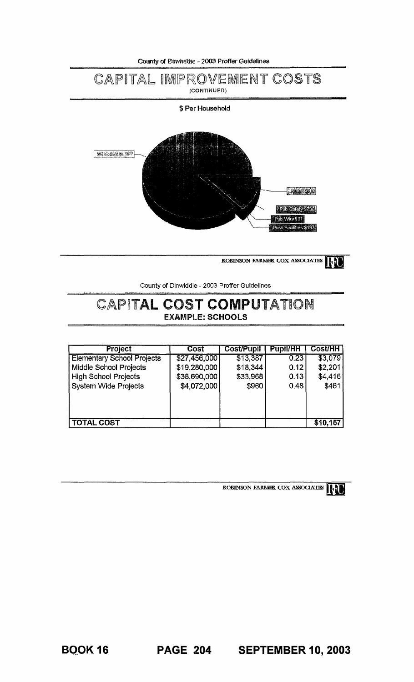

**ROBINSON FARMER COX ASSOCIATES** 

County of Dinwiddie - *2003* Proffer Guidelines

## CAPITAL COST COMPUTATION EXAMPLE: **SCHOOLS**

| <b>Project</b>                    | Cost         | <b>Cost/Pupil</b> | <b>Pupil/HH</b> | <b>Cost/HH</b> |
|-----------------------------------|--------------|-------------------|-----------------|----------------|
| <b>Elementary School Projects</b> | \$27,456,000 | \$13,387          | 0.23            | \$3,079        |
| Middle School Projects            | \$19,280,000 | \$18,344          | 0.12            | \$2,201        |
| <b>High School Projects</b>       | \$38,690,000 | \$33,968          | 0.13            | \$4,416        |
| <b>System Wide Projects</b>       | \$4,072,000  | \$960             | 0.48            | \$461          |
|                                   |              |                   |                 |                |
|                                   |              |                   |                 |                |
| <b>TOTAL COST</b>                 |              |                   |                 | \$10,157       |



•

ROBINSON FARMER COX ASSOCIATES **INI** 

**BQ,OK 16 PAGE 204 SEPTEMBER 10,2003**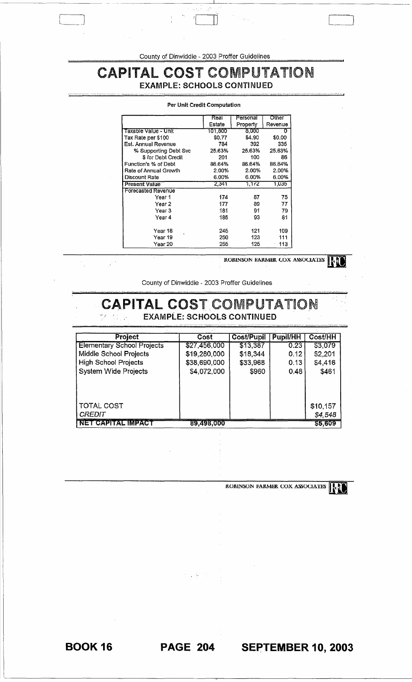County of Dinwiddie - 2003 Proffer Guidelines

# **CAPITAL COST COMPUTATION**

**EXAMPLE: SCHOOLS CONTINUED** 

|                       | Real    | Personal | Other   |
|-----------------------|---------|----------|---------|
|                       | Estate  | Property | Revenue |
| Taxable Value - Unit  | 101.800 | 8.000    | Ω       |
| Tax Rate per \$100    | \$0.77  | \$4.90   | \$0.00  |
| Est. Annual Revenue   | 784     | 392      | 335     |
| % Supporting Debt Svc | 25.63%  | 25.63%   | 25.63%  |
| \$ for Debt Credit    | 201     | 100      | 86      |
| Function's % of Debt  | 86.64%  | 86.64%   | 86.64%  |
| Rate of Annual Growth | 2.00%   | 2.00%    | 2.00%   |
| Discount Rate         | 6.00%   | $6.00\%$ | 6.00%   |
| <b>Present Value</b>  | 2.341   | 1,172    | 1.035   |
| Forecasted Revenue    |         |          |         |
| Year 1                | 174     | 87       | 75      |
| Year 2                | 177     | 89       | 77      |
| Year 3                | 181     | 91       | 79      |
| Year 4                | 185     | 93       | 81      |
|                       |         |          |         |
| Year 18<br>è          | 245     | 121      | 109     |
| Year 19               | 250     | 123      | 111     |
| Year 20               | 255     | 125      | 113     |

#### Per Unit Credit Computation

ROBINSON FARMER COX ASSOCIATES

County of Dinwiddie - 2003 Proffer Guidelines

 $\frac{1}{2}$  ).

### **CAPITAL COST COMPUTATION EXAMPLE: SCHOOLS CONTINUED**

| <b>Project</b>                    | Cost         | Cost/Pupil | <b>Pupil/HH</b> | Cost/HH  |
|-----------------------------------|--------------|------------|-----------------|----------|
| <b>Elementary School Projects</b> | \$27,456,000 | \$13,387   | 0.23            | S3,079   |
| Middle School Projects            | \$19,280,000 | \$18,344   | 0.12            | \$2,201  |
| <b>High School Projects</b>       | \$38,690,000 | \$33,968   | 0.13            | \$4,416  |
| System Wide Projects              | \$4,072,000  | \$960      | 0.48            | \$461    |
| <b>TOTAL COST</b>                 |              |            |                 | \$10,157 |
| <b>CREDIT</b>                     |              |            |                 | \$4,548  |
| NET CAPITAL IMPACT                | 89,498,000   |            |                 | \$5,609  |

ROBINSON FARMER COX ASSOCIATES

**SEPTEMBER 10, 2003** 

**PAGE 204** 

**BOOK 16**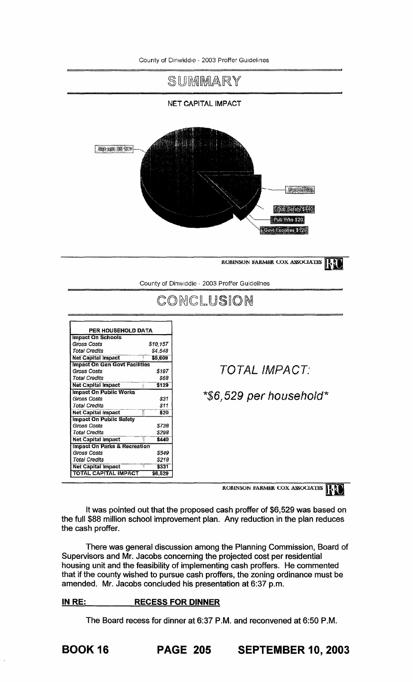

ROBINSON FARMER COX ASSOCIATES **INTER** 

It was pointed out that the proposed cash proffer of \$6,529 was based on the full \$88 million school improvement plan. Any reduction in the plan reduces the cash proffer.

There was general discussion among the Planning Commission, Board of Supervisors and Mr. Jacobs concerning the projected cost per residential housing unit and the feasibility of implementing cash proffers. He commented that if the county wished to pursue cash proffers, the zoning ordinance must be amended. Mr. Jacobs concluded his presentation at 6:37 p.m.

### **IN** RE: **RECESS FOR DINNER**

The Board recess for dinner at 6:37 P.M. and reconvened at 6:50 P.M.

BOOK 16 **PAGE 205 SEPTEMBER 10,2003**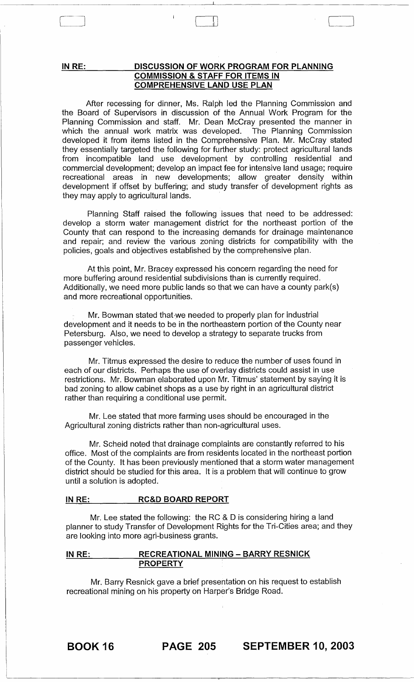**IN RE:** 

Cl

### **DISCUSSION OF WORK PROGRAM FOR PLANNING COMMISSION & STAFF FOR ITEMS IN COMPREHENSIVE LAND USE PLAN**

 $\mathbb L$ 

After recessing for dinner, Ms. Ralph led the Planning Commission and the Board of Supervisors in discussion of the Annual Work Program for the Planning Commission and staff. Mr. Dean McCray presented the manner in which the annual work matrix was developed. The Planning Commission developed it from items listed in the Comprehensive Plan. Mr. McCray stated they essentially targeted the following for further study: protect agricultural lands from incompatible land use development by controlling residential and commercial development; develop an impact fee for intensive land usage; require recreational areas in new developments; allow greater density within development if offset by buffering; and study transfer of development rights as they may apply to agricultural lands.

Planning Staff raised the following issues that need to be addressed: develop a storm water management district for the northeast portion of the County that can respond to the increasing demands for drainage maintenance and repair; and. review the various zoning districts for compatibility with the policies, goals and objectives established by the comprehensive plan.

At this point, Mr. Bracey expressed his concern regarding the need for more buffering around residential subdivisions than is currently required. Additionally, we need more public lands so that we can have a county park(s) and more recreational opportunities.

Mr. Bowman stated that we needed to properly plan for industrial development and it needs to be in the northeastern portion of the County near Petersburg. Also, we need to develop a strategy to separate trucks from passenger vehicles.

Mr. Titmus expressed the desire to reduce the number of uses found in each of our districts. Perhaps the use of overlay districts could assist in use restrictions. Mr. Bowman elaborated upon Mr. Titmus' statement by saying it is bad zoning to allow cabinet shops as a use by right in an agricultural district rather than requiring a conditional use permit.

Mr. Lee stated that more farming uses should be encouraged in the Agricultural zoning districts rather than non-agricultural uses.

Mr. Scheid noted that drainage complaints are constantly referred to his office. Most of the complaints are from residents located in the northeast portion of the County. It has been previously mentioned that a storm water management district should be studied for this area. It is a problem that will continue to grow until a solution is adopted.

### **IN RE: RC&D BOARD REPORT**

Mr. Lee stated the following: the RC & D is considering hiring a land planner to study Transfer of Development Rights for the Tri-Cities area; and they are looking into more agri-business grants.

### **IN RE: RECREATIONAL MINING - BARRY RESNICK PROPERTY**

Mr. Barry Resnick gave a brief presentation on his request to establish recreational mining on his property on Harper's Bridge Road.

BOOK 16 **PAGE 205 SEPTEMBER 10, 2003**